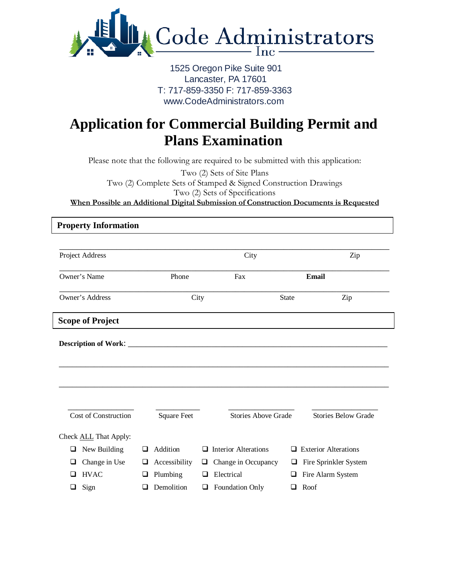

## 1525 Oregon Pike Suite 901 Lancaster, PA 17601 T: 717-859-3350 F: 717-859-3363 www.CodeAdministrators.com

## **Application for Commercial Building Permit and Plans Examination**

Please note that the following are required to be submitted with this application:

Two (2) Sets of Site Plans Two (2) Complete Sets of Stamped & Signed Construction Drawings Two (2) Sets of Specifications **When Possible an Additional Digital Submission of Construction Documents is Requested**

| Project Address              |                    | City                             | Zip                              |
|------------------------------|--------------------|----------------------------------|----------------------------------|
| Owner's Name                 | Phone              | Fax                              | Email                            |
| Owner's Address              |                    | City                             | <b>State</b><br>Zip              |
| <b>Scope of Project</b>      |                    |                                  |                                  |
|                              |                    |                                  |                                  |
|                              |                    |                                  |                                  |
|                              |                    |                                  |                                  |
| Cost of Construction         | <b>Square Feet</b> | <b>Stories Above Grade</b>       | <b>Stories Below Grade</b>       |
| Check <b>ALL</b> That Apply: |                    |                                  |                                  |
| New Building<br>⊔            | Addition<br>ப      | <b>Interior Alterations</b><br>ப | <b>Exterior Alterations</b><br>ப |
| Change in Use<br>⊔           | Accessibility<br>⊔ | Change in Occupancy<br>⊔         | Fire Sprinkler System<br>⊔       |
| <b>HVAC</b><br>H             | Plumbing<br>❏      | Electrical<br>□                  | Fire Alarm System<br>❏           |
| Sign                         | Demolition         | Foundation Only<br>⊔             | Roof<br>❏                        |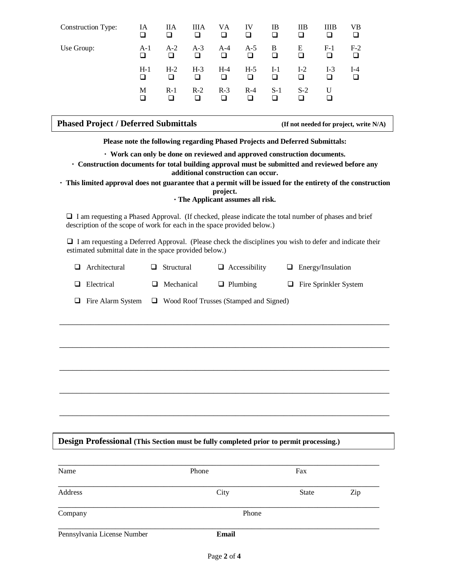| <b>Construction Type:</b> | IA<br>□    | <b>IIA</b>   | ШA<br>□    | VA<br>□    | IV<br>□    | IB         | <b>IIB</b> | <b>IIIB</b> | VВ    |
|---------------------------|------------|--------------|------------|------------|------------|------------|------------|-------------|-------|
| Use Group:                | $A-1$<br>◻ | $A-2$        | $A-3$<br>❏ | $A-4$      | $A-5$<br>◻ | B          | Ε          | $F-1$       | $F-2$ |
|                           | $H-1$<br>◻ | $H-2$<br>□   | $H-3$<br>□ | $H-4$<br>ப | $H-5$<br>□ | $I-1$<br>П | $I-2$<br>ப | $I-3$<br>ப  | $I-4$ |
|                           | M<br>□     | $R-1$<br>l 1 | $R-2$<br>ப | $R-3$<br>ப | $R-4$<br>ப | $S-1$      | $S-2$      | U           |       |

| <b>Phased Project / Deferred Submittals</b> | (If not needed for project, write $N/A$ ) |
|---------------------------------------------|-------------------------------------------|
|                                             |                                           |

**Please note the following regarding Phased Projects and Deferred Submittals:**

 **Work can only be done on reviewed and approved construction documents.**

 **Construction documents for total building approval must be submitted and reviewed before any additional construction can occur.**

 **This limited approval does not guarantee that a permit will be issued for the entirety of the construction project.**

**The Applicant assumes all risk.**

 I am requesting a Phased Approval. (If checked, please indicate the total number of phases and brief description of the scope of work for each in the space provided below.)

 I am requesting a Deferred Approval. (Please check the disciplines you wish to defer and indicate their estimated submittal date in the space provided below.)

| Architectural            | $\Box$ Structural | $\Box$ Accessibility                          | $\Box$ Energy/Insulation     |
|--------------------------|-------------------|-----------------------------------------------|------------------------------|
| $\Box$ Electrical        | $\Box$ Mechanical | $\Box$ Plumbing                               | $\Box$ Fire Sprinkler System |
| $\Box$ Fire Alarm System |                   | $\Box$ Wood Roof Trusses (Stamped and Signed) |                              |

\_\_\_\_\_\_\_\_\_\_\_\_\_\_\_\_\_\_\_\_\_\_\_\_\_\_\_\_\_\_\_\_\_\_\_\_\_\_\_\_\_\_\_\_\_\_\_\_\_\_\_\_\_\_\_\_\_\_\_\_\_\_\_\_\_\_\_\_\_\_\_\_\_\_\_

\_\_\_\_\_\_\_\_\_\_\_\_\_\_\_\_\_\_\_\_\_\_\_\_\_\_\_\_\_\_\_\_\_\_\_\_\_\_\_\_\_\_\_\_\_\_\_\_\_\_\_\_\_\_\_\_\_\_\_\_\_\_\_\_\_\_\_\_\_\_\_\_\_\_\_

\_\_\_\_\_\_\_\_\_\_\_\_\_\_\_\_\_\_\_\_\_\_\_\_\_\_\_\_\_\_\_\_\_\_\_\_\_\_\_\_\_\_\_\_\_\_\_\_\_\_\_\_\_\_\_\_\_\_\_\_\_\_\_\_\_\_\_\_\_\_\_\_\_\_\_

\_\_\_\_\_\_\_\_\_\_\_\_\_\_\_\_\_\_\_\_\_\_\_\_\_\_\_\_\_\_\_\_\_\_\_\_\_\_\_\_\_\_\_\_\_\_\_\_\_\_\_\_\_\_\_\_\_\_\_\_\_\_\_\_\_\_\_\_\_\_\_\_\_\_\_

\_\_\_\_\_\_\_\_\_\_\_\_\_\_\_\_\_\_\_\_\_\_\_\_\_\_\_\_\_\_\_\_\_\_\_\_\_\_\_\_\_\_\_\_\_\_\_\_\_\_\_\_\_\_\_\_\_\_\_\_\_\_\_\_\_\_\_\_\_\_\_\_\_\_\_

**Design Professional (This Section must be fully completed prior to permit processing.)**

| Name                        | Phone        | Fax          |     |
|-----------------------------|--------------|--------------|-----|
| Address                     | City         | <b>State</b> | Zip |
| Company                     | Phone        |              |     |
| Pennsylvania License Number | <b>Email</b> |              |     |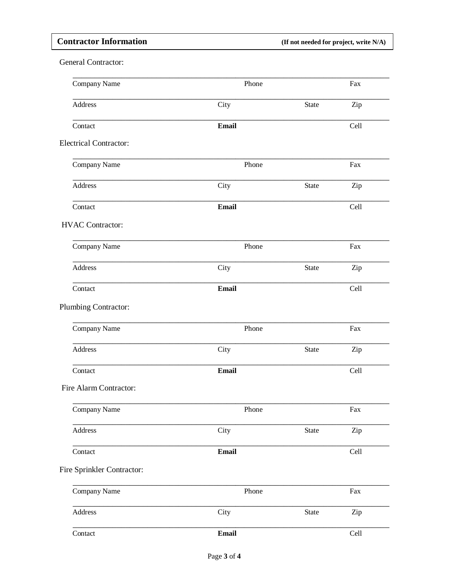## **Contractor Information**

Contact

(If not needed for project, write N/A)

Cell

**General Contractor:** Company Name Phone Fax Address City State Zip Contact Email Cell **Electrical Contractor:** Company Name Phone Fax Address City State Zip Contact Email Cell **HVAC Contractor:** Company Name Phone Fax Address City **State** Zip Contact Email Cell Plumbing Contractor: Company Name Phone Fax Address City **State** Zip Contact **Email** Cell Fire Alarm Contractor: Company Name Phone Fax Address City Zip State Contact **Email** Cell Fire Sprinkler Contractor: Company Name Phone Fax Address City State Zip

Email